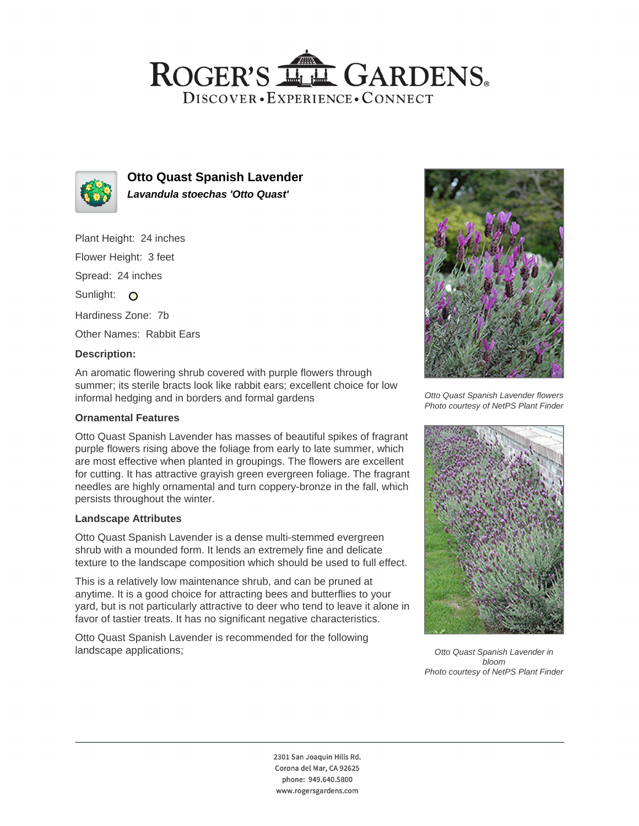# ROGER'S LL GARDENS. DISCOVER · EXPERIENCE · CONNECT



**Otto Quast Spanish Lavender Lavandula stoechas 'Otto Quast'**

Plant Height: 24 inches Flower Height: 3 feet Spread: 24 inches Sunlight: O Hardiness Zone: 7b Other Names: Rabbit Ears

#### **Description:**

An aromatic flowering shrub covered with purple flowers through summer; its sterile bracts look like rabbit ears; excellent choice for low informal hedging and in borders and formal gardens

### **Ornamental Features**

Otto Quast Spanish Lavender has masses of beautiful spikes of fragrant purple flowers rising above the foliage from early to late summer, which are most effective when planted in groupings. The flowers are excellent for cutting. It has attractive grayish green evergreen foliage. The fragrant needles are highly ornamental and turn coppery-bronze in the fall, which persists throughout the winter.

## **Landscape Attributes**

Otto Quast Spanish Lavender is a dense multi-stemmed evergreen shrub with a mounded form. It lends an extremely fine and delicate texture to the landscape composition which should be used to full effect.

This is a relatively low maintenance shrub, and can be pruned at anytime. It is a good choice for attracting bees and butterflies to your yard, but is not particularly attractive to deer who tend to leave it alone in favor of tastier treats. It has no significant negative characteristics.

Otto Quast Spanish Lavender is recommended for the following landscape applications;



Otto Quast Spanish Lavender flowers Photo courtesy of NetPS Plant Finder



Otto Quast Spanish Lavender in bloom Photo courtesy of NetPS Plant Finder

2301 San Joaquin Hills Rd. Corona del Mar, CA 92625 phone: 949.640.5800 www.rogersgardens.com